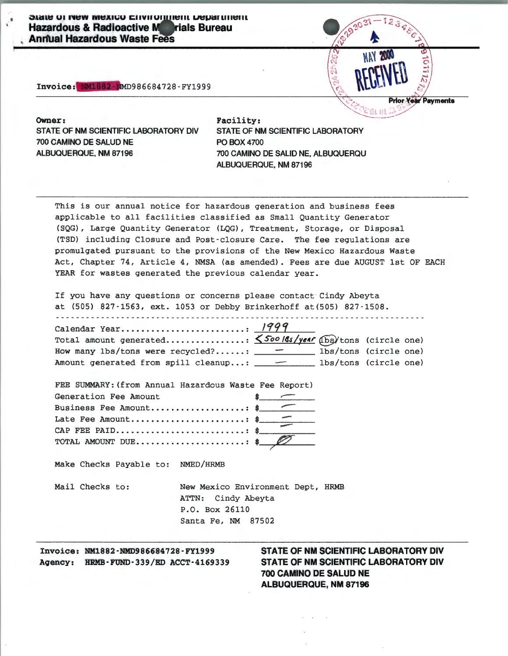**JUIL OF MAY MEXICO CHARDIFIEL DEPARTMENT Hazardous & Radioactive Marials Bureau Annual Hazardous Waste Fees** 

Invoice: NM1882-NMD986684728-FY1999



Owner: Facility: STATE OF NM SCIENTIFIC LABORATORY DIV 700 CAMINO DE SALUD NE ALBUQUERQUE, NM 87196 700 CAMINO DE SAUD NE, ALBUQUERQU

STATE OF NM SCIENTIFIC LABORATORY PO BOX4700 ALBUQUERQUE, NM 87196

This is our annual notice for hazardous generation and business fees applicable to all facilities classified as Small Quantity Generator (SQG), Large Quantity Generator (LQG), Treatment, Storage, or Disposal (TSD) including Closure and Post-closure Care. The fee regulations are promulgated pursuant to the provisions of the New Mexico Hazardous Waste Act, Chapter 74, Article 4, NMSA (as amended). Fees are due AUGUST 1st OF EACH YEAR for wastes generated the previous calendar year.

If you have any questions or concerns please contact Cindy Abeyta at (505) 827-1563, ext. 1053 or Debby Brinkerhoff at(505) 827-1508 .

| Total amount generated: 5500 18s/year (bs)/tons (circle one)                  |  |  |
|-------------------------------------------------------------------------------|--|--|
| How many lbs/tons were recycled? $\qquad \qquad \qquad$ lbs/tons (circle one) |  |  |
| Amount generated from spill cleanup: _________ lbs/tons (circle one)          |  |  |

| FEE SUMMARY: (from Annual Hazardous Waste Fee Report) |               |
|-------------------------------------------------------|---------------|
| Generation Fee Amount                                 | $\sim$ $\sim$ |
| Business Fee Amount \$                                |               |
| Late Fee Amount\$                                     |               |
|                                                       |               |
|                                                       |               |

Make Checks Payable to: NMED/HRMB

| Mail Checks to: | New Mexico Environment Dept, HRMB |
|-----------------|-----------------------------------|
|                 | ATTN: Cindy Abeyta                |
|                 | P.O. Box 26110                    |
|                 | Santa Fe, NM 87502                |

Invoice: NM1882-NMD986684728-FY1999 Aoency: HRMB-FUND-339/ED ACCT-4169339

### **STATE OF NM SCIENTIFIC LABORATORY DIV STATE OF NM SCIENTIFIC LABORATORY DIV 700 CAMINO DE SALUD NE ALBUQUERQUE, NM 87196**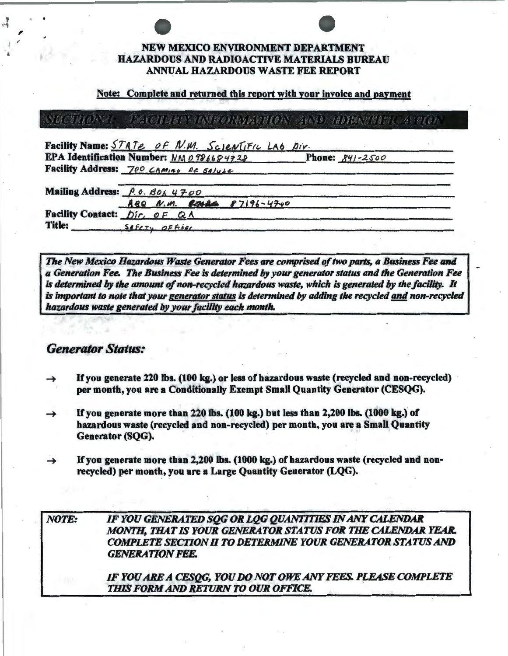## **NEW MEXICO ENVIRONMENT DEPARTMENT HAZARDOUS AND RADIOACTIVE MATERIALS BUREAU ANNUAL HAZARDOUS WASTE FEE REPORT**

### Note: Complete and returned this report with your invoice and payment

### **NECTHON TE** TALCOUR TENTROINDAMENTOS AND TIDISNIBUS ASSION

| Facility Name: STATE OF N.M. SCIENTIFIC LAO DIV. |  |                           |                            |  |
|--------------------------------------------------|--|---------------------------|----------------------------|--|
| EPA Identification Number: NM 0986684728         |  |                           | <b>Phone:</b> $841 - 2500$ |  |
| Facility Address: 700 CAMINO DE SAlude           |  |                           |                            |  |
| Mailing Address: P.O. BOX 4700                   |  |                           |                            |  |
|                                                  |  | ABQ N.M. ROMAN 87196-4700 |                            |  |
| Facility Contact: Dir. OF QA                     |  |                           |                            |  |
| <b>Title:</b><br>SAFETY OFFICE                   |  |                           |                            |  |

The New Mexico Hazardous Waste Generator Fees are comprised of two parts, a Business Fee and a Generation Fee. The Business Fee is determined by your generator status and the Generation Fee is determined by the amount of non-recycled hazardous waste, which is generated by the facility. It is important to note that your generator status is determined by adding the recycled and non-recycled hazardous waste generated by your facility each month.

## **Generator Status:**

- If you generate 220 lbs. (100 kg.) or less of hazardous waste (recycled and non-recycled) per month, you are a Conditionally Exempt Small Quantity Generator (CESQG).
- If you generate more than 220 lbs. (100 kg.) but less than 2,200 lbs. (1000 kg.) of  $\rightarrow$ hazardous waste (recycled and non-recycled) per month, you are a Small Quantity Generator (SQG).
- If you generate more than 2,200 lbs. (1000 kg.) of hazardous waste (recycled and nonrecycled) per month, you are a Large Quantity Generator (LQG).

IF YOU GENERATED SOG OR LOG QUANTITIES IN ANY CALENDAR **NOTE:** MONTH, THAT IS YOUR GENERATOR STATUS FOR THE CALENDAR YEAR. COMPLETE SECTION II TO DETERMINE YOUR GENERATOR STATUS AND **GENERATION FEE.** 

> IF YOU ARE A CESQG, YOU DO NOT OWE ANY FEES. PLEASE COMPLETE THIS FORM AND RETURN TO OUR OFFICE.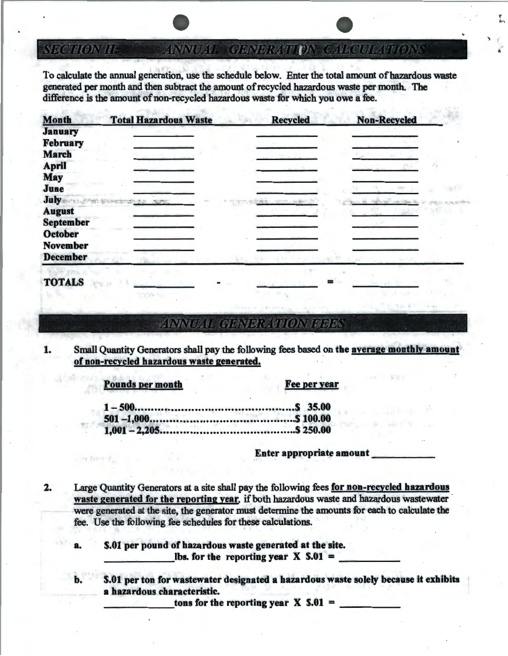TIE 2000/020 GENERATEDNA

' .. ,

To calculate the annual generation, use the schedule below. Enter the total amount of hazardous waste generated per month and then subtract the amount of recycled hazardous waste per month. The difference is the amount of non-recycled hazardous waste for which you owe a fee.

| <b>Month</b>     | <b>Total Hazardous Waste</b>                                                                                   | <b>Recycled</b> | <b>Non-Recycled</b> |
|------------------|----------------------------------------------------------------------------------------------------------------|-----------------|---------------------|
| <b>January</b>   |                                                                                                                |                 |                     |
| <b>February</b>  |                                                                                                                |                 |                     |
| <b>March</b>     |                                                                                                                |                 |                     |
| <b>April</b>     |                                                                                                                |                 |                     |
| <b>May</b>       |                                                                                                                |                 |                     |
| June             |                                                                                                                |                 |                     |
| July             | the finance of the contract of the contract of the contract of the contract of the contract of the contract of |                 |                     |
| <b>August</b>    |                                                                                                                |                 |                     |
| <b>September</b> |                                                                                                                |                 |                     |
| <b>October</b>   |                                                                                                                |                 |                     |
| <b>November</b>  |                                                                                                                |                 |                     |
| <b>December</b>  |                                                                                                                |                 |                     |
|                  |                                                                                                                |                 |                     |

# ZINNIEZIE GENERATIONENEK

1. Small Quantity Generators shall pay the following fees based on the average monthly amount of non-recycled hazardous waste generated.

Pounds per month Fee per year

TOTALS

-76 et Pa

二十万円の下

Enter appropriate amount

=

2. Large Quantity Generators at a site shall pay the following fees for non-recycled hazardous waste generated for the reporting year, if both hazardous waste and hazardous wastewater were generated at the site, the generator must determine the amounts for each to calculate the fee. Use the following fee schedules for these calculations.

a. \$.01 per pound of hazardous waste generated at the site.  $$.01$  per pound of hazardous waste generated at the site.<br>lbs. for the reporting year X  $$.01 =$ 

b. \$.01 per ton for wastewater designated a hazardous waste solely because it exhibits a hazardous characteristic.

tons for the reporting year  $X$  \$.01 =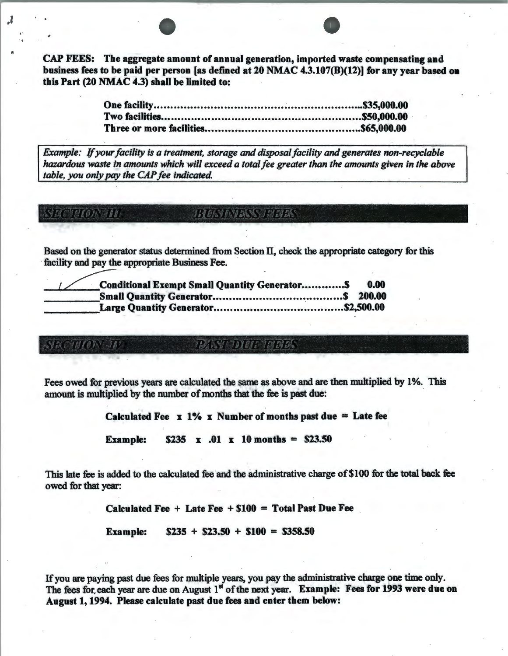CAP FEES: The aggregate amount of annual generation, imported waste compensating and business fees to be paid per person [as defined at 20 NMAC 4.3.107(B)(12)] for any year based on this Part (20 NMAC 4.3) shall be limited to:

*Example:* If *your facility is a treatment, storage and disposal facility and generates non-recyclable hazardous waste in amounts which will exceed a total fee greater than the amounts given in the above table, you only* pay *the CAP fee indicated.* 

### **BUSY NESS THRES SECTION III**

J

Based on the generator status determined from Section II, check the appropriate category for this facility and pay the appropriate Business Fee.

| <b>Conditional Exempt Small Quantity GeneratorS</b> | 0.00 |
|-----------------------------------------------------|------|
|                                                     |      |
|                                                     |      |

PASY DUE THEE

Fees owed for previous years are calculated the same as above and are then multiplied by 1%. This amount is multiplied by the number of months that the fee is past due:

Calculated Fee  $x \frac{1}{6} x$  Number of months past due = Late fee

Example:  $$235 \times .01 \times 10 \text{ months} = $23.50$ 

This late fee is added to the calculated fee and the administrative charge of \$100 for the total back fee owed for that year:

Calculated Fee  $+$  Late Fee  $+$  \$100 = Total Past Due Fee

Example:  $$235 + $23.50 + $100 = $358.50$ 

If you are paying past due fees for multiple years, you pay the administrative charge one time only. The fees for, each year are due on August 1st of the next year. Example: Fees for 1993 were due on August 1, 1994. Please calculate past due fees and enter them below: